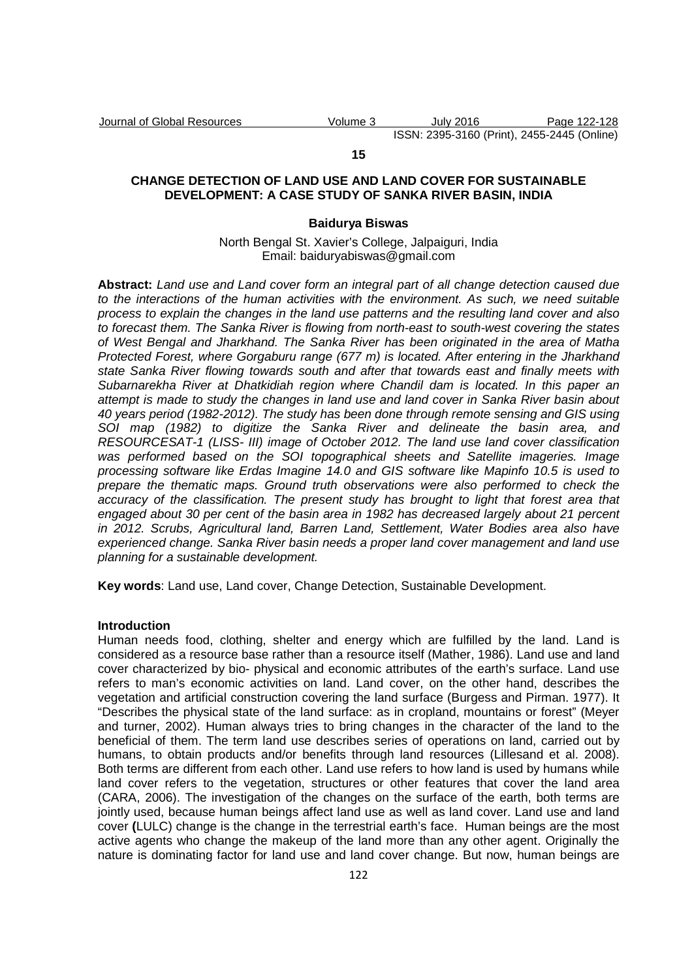#### **15**

## **CHANGE DETECTION OF LAND USE AND LAND COVER FOR SUSTAINABLE DEVELOPMENT: A CASE STUDY OF SANKA RIVER BASIN, INDIA**

#### **Baidurya Biswas**

North Bengal St. Xavier's College, Jalpaiguri, India Email: baiduryabiswas@gmail.com

**Abstract:** Land use and Land cover form an integral part of all change detection caused due to the interactions of the human activities with the environment. As such, we need suitable process to explain the changes in the land use patterns and the resulting land cover and also to forecast them. The Sanka River is flowing from north-east to south-west covering the states of West Bengal and Jharkhand. The Sanka River has been originated in the area of Matha Protected Forest, where Gorgaburu range (677 m) is located. After entering in the Jharkhand state Sanka River flowing towards south and after that towards east and finally meets with Subarnarekha River at Dhatkidiah region where Chandil dam is located. In this paper an attempt is made to study the changes in land use and land cover in Sanka River basin about 40 years period (1982-2012). The study has been done through remote sensing and GIS using SOI map (1982) to digitize the Sanka River and delineate the basin area, and RESOURCESAT-1 (LISS- III) image of October 2012. The land use land cover classification was performed based on the SOI topographical sheets and Satellite imageries. Image processing software like Erdas Imagine 14.0 and GIS software like Mapinfo 10.5 is used to prepare the thematic maps. Ground truth observations were also performed to check the accuracy of the classification. The present study has brought to light that forest area that engaged about 30 per cent of the basin area in 1982 has decreased largely about 21 percent in 2012. Scrubs, Agricultural land, Barren Land, Settlement, Water Bodies area also have experienced change. Sanka River basin needs a proper land cover management and land use planning for a sustainable development.

**Key words**: Land use, Land cover, Change Detection, Sustainable Development.

#### **Introduction**

Human needs food, clothing, shelter and energy which are fulfilled by the land. Land is considered as a resource base rather than a resource itself (Mather, 1986). Land use and land cover characterized by bio- physical and economic attributes of the earth's surface. Land use refers to man's economic activities on land. Land cover, on the other hand, describes the vegetation and artificial construction covering the land surface (Burgess and Pirman. 1977). It "Describes the physical state of the land surface: as in cropland, mountains or forest" (Meyer and turner, 2002). Human always tries to bring changes in the character of the land to the beneficial of them. The term land use describes series of operations on land, carried out by humans, to obtain products and/or benefits through land resources (Lillesand et al. 2008). Both terms are different from each other. Land use refers to how land is used by humans while land cover refers to the vegetation, structures or other features that cover the land area (CARA, 2006). The investigation of the changes on the surface of the earth, both terms are jointly used, because human beings affect land use as well as land cover. Land use and land cover **(**LULC) change is the change in the terrestrial earth's face. Human beings are the most active agents who change the makeup of the land more than any other agent. Originally the nature is dominating factor for land use and land cover change. But now, human beings are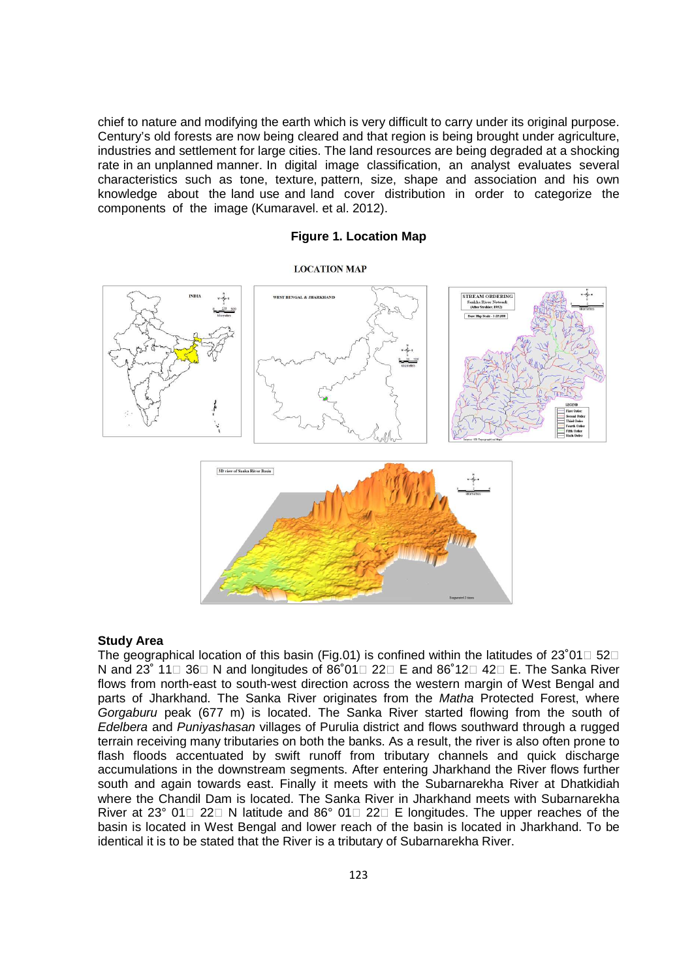chief to nature and modifying the earth which is very difficult to carry under its original purpose. Century's old forests are now being cleared and that region is being brought under agriculture, industries and settlement for large cities. The land resources are being degraded at a shocking rate in an unplanned manner. In digital image classification, an analyst evaluates several characteristics such as tone, texture, pattern, size, shape and association and his own knowledge about the land use and land cover distribution in order to categorize the components of the image (Kumaravel. et al. 2012).

## **Figure 1. Location Map**

#### **LOCATION MAP**



#### **Study Area**

The geographical location of this basin (Fig.01) is confined within the latitudes of 23°01 52 N and 23˚ 11 36 N and longitudes of 86˚01 22 E and 86˚12 42 E. The Sanka River flows from north-east to south-west direction across the western margin of West Bengal and parts of Jharkhand. The Sanka River originates from the Matha Protected Forest, where Gorgaburu peak (677 m) is located. The Sanka River started flowing from the south of Edelbera and Puniyashasan villages of Purulia district and flows southward through a rugged terrain receiving many tributaries on both the banks. As a result, the river is also often prone to flash floods accentuated by swift runoff from tributary channels and quick discharge accumulations in the downstream segments. After entering Jharkhand the River flows further south and again towards east. Finally it meets with the Subarnarekha River at Dhatkidiah where the Chandil Dam is located. The Sanka River in Jharkhand meets with Subarnarekha River at 23° 01 22 N latitude and 86° 01 22 E longitudes. The upper reaches of the basin is located in West Bengal and lower reach of the basin is located in Jharkhand. To be identical it is to be stated that the River is a tributary of Subarnarekha River.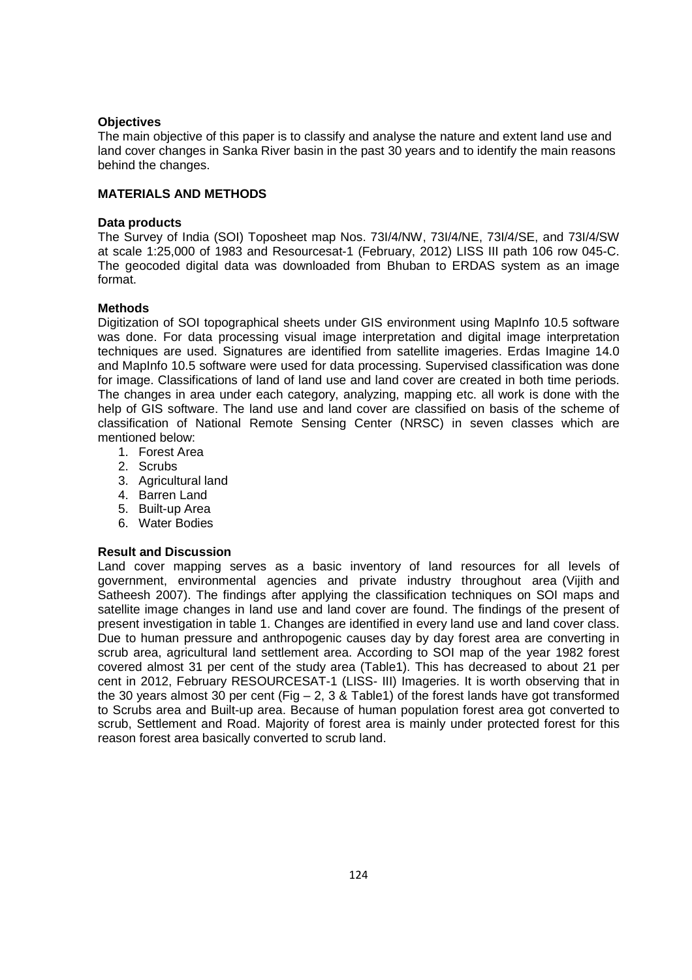## **Objectives**

The main objective of this paper is to classify and analyse the nature and extent land use and land cover changes in Sanka River basin in the past 30 years and to identify the main reasons behind the changes.

## **MATERIALS AND METHODS**

## **Data products**

The Survey of India (SOI) Toposheet map Nos. 73I/4/NW, 73I/4/NE, 73I/4/SE, and 73I/4/SW at scale 1:25,000 of 1983 and Resourcesat-1 (February, 2012) LISS III path 106 row 045-C. The geocoded digital data was downloaded from Bhuban to ERDAS system as an image format.

## **Methods**

Digitization of SOI topographical sheets under GIS environment using MapInfo 10.5 software was done. For data processing visual image interpretation and digital image interpretation techniques are used. Signatures are identified from satellite imageries. Erdas Imagine 14.0 and MapInfo 10.5 software were used for data processing. Supervised classification was done for image. Classifications of land of land use and land cover are created in both time periods. The changes in area under each category, analyzing, mapping etc. all work is done with the help of GIS software. The land use and land cover are classified on basis of the scheme of classification of National Remote Sensing Center (NRSC) in seven classes which are mentioned below:

- 1. Forest Area
- 2. Scrubs
- 3. Agricultural land
- 4. Barren Land
- 5. Built-up Area
- 6. Water Bodies

# **Result and Discussion**

Land cover mapping serves as a basic inventory of land resources for all levels of government, environmental agencies and private industry throughout area (Vijith and Satheesh 2007). The findings after applying the classification techniques on SOI maps and satellite image changes in land use and land cover are found. The findings of the present of present investigation in table 1. Changes are identified in every land use and land cover class. Due to human pressure and anthropogenic causes day by day forest area are converting in scrub area, agricultural land settlement area. According to SOI map of the year 1982 forest covered almost 31 per cent of the study area (Table1). This has decreased to about 21 per cent in 2012, February RESOURCESAT-1 (LISS- III) Imageries. It is worth observing that in the 30 years almost 30 per cent (Fig  $-2$ , 3 & Table1) of the forest lands have got transformed to Scrubs area and Built-up area. Because of human population forest area got converted to scrub, Settlement and Road. Majority of forest area is mainly under protected forest for this reason forest area basically converted to scrub land.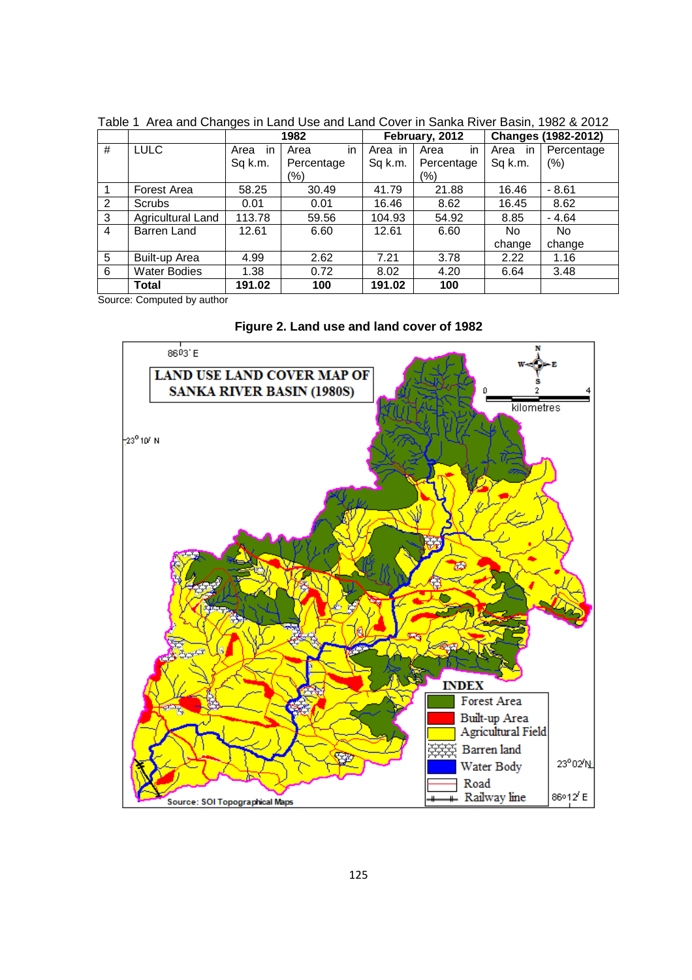|   |                          | 1982       |            | February, 2012 |            | <b>Changes (1982-2012)</b> |                |
|---|--------------------------|------------|------------|----------------|------------|----------------------------|----------------|
| # | <b>LULC</b>              | Area<br>ın | in<br>Area | Area in        | in<br>Area | in<br>Area                 | Percentage     |
|   |                          | Sq k.m.    | Percentage | Sq k.m.        | Percentage | Sq k.m.                    | (% )           |
|   |                          |            | (%)        |                | (%)        |                            |                |
| 1 | Forest Area              | 58.25      | 30.49      | 41.79          | 21.88      | 16.46                      | $-8.61$        |
| 2 | <b>Scrubs</b>            | 0.01       | 0.01       | 16.46          | 8.62       | 16.45                      | 8.62           |
| 3 | <b>Agricultural Land</b> | 113.78     | 59.56      | 104.93         | 54.92      | 8.85                       | $-4.64$        |
| 4 | Barren Land              | 12.61      | 6.60       | 12.61          | 6.60       | <b>No</b>                  | N <sub>o</sub> |
|   |                          |            |            |                |            | change                     | change         |
| 5 | Built-up Area            | 4.99       | 2.62       | 7.21           | 3.78       | 2.22                       | 1.16           |
| 6 | <b>Water Bodies</b>      | 1.38       | 0.72       | 8.02           | 4.20       | 6.64                       | 3.48           |
|   | Total                    | 191.02     | 100        | 191.02         | 100        |                            |                |

Table 1 Area and Changes in Land Use and Land Cover in Sanka River Basin, 1982 & 2012

Source: Computed by author

**Figure 2. Land use and land cover of 1982** 

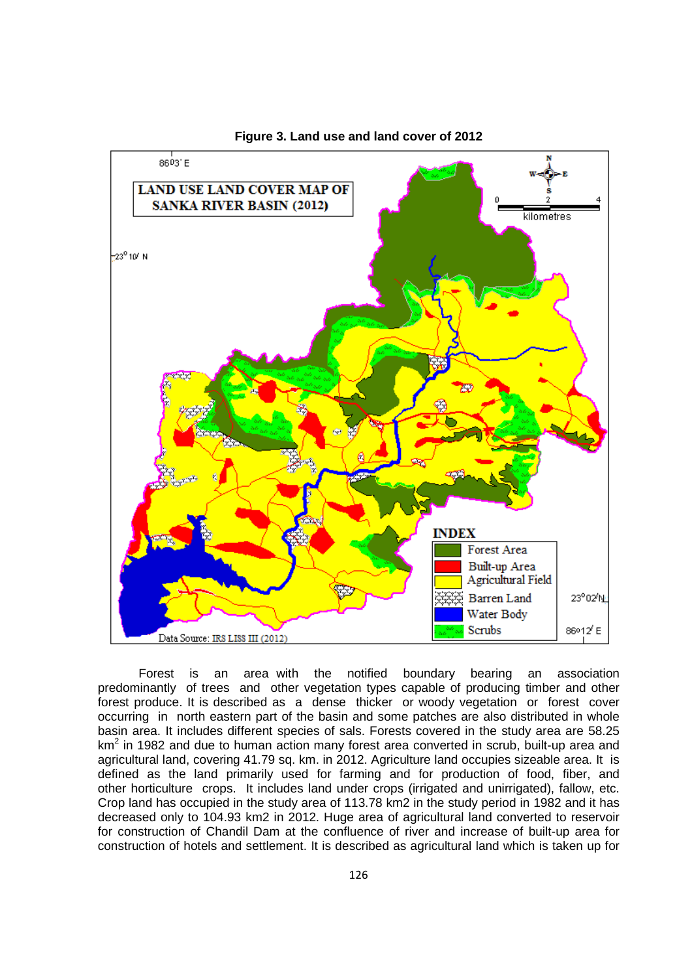

**Figure 3. Land use and land cover of 2012** 

Forest is an area with the notified boundary bearing an association predominantly of trees and other vegetation types capable of producing timber and other forest produce. It is described as a dense thicker or woody vegetation or forest cover occurring in north eastern part of the basin and some patches are also distributed in whole basin area. It includes different species of sals. Forests covered in the study area are 58.25 km<sup>2</sup> in 1982 and due to human action many forest area converted in scrub, built-up area and agricultural land, covering 41.79 sq. km. in 2012. Agriculture land occupies sizeable area. It is defined as the land primarily used for farming and for production of food, fiber, and other horticulture crops. It includes land under crops (irrigated and unirrigated), fallow, etc. Crop land has occupied in the study area of 113.78 km2 in the study period in 1982 and it has decreased only to 104.93 km2 in 2012. Huge area of agricultural land converted to reservoir for construction of Chandil Dam at the confluence of river and increase of built-up area for construction of hotels and settlement. It is described as agricultural land which is taken up for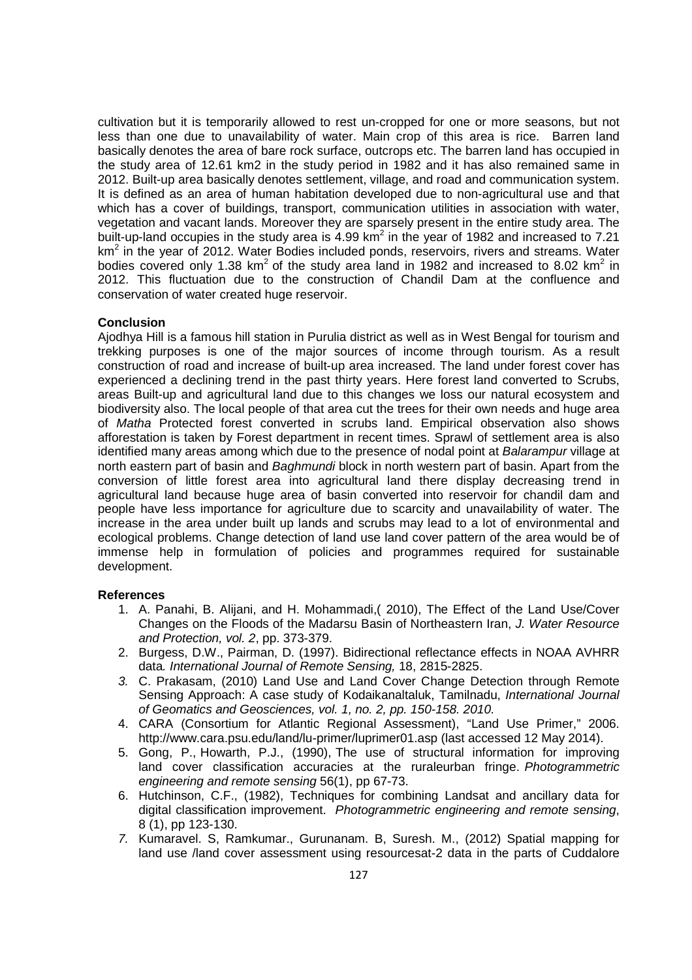cultivation but it is temporarily allowed to rest un-cropped for one or more seasons, but not less than one due to unavailability of water. Main crop of this area is rice. Barren land basically denotes the area of bare rock surface, outcrops etc. The barren land has occupied in the study area of 12.61 km2 in the study period in 1982 and it has also remained same in 2012. Built-up area basically denotes settlement, village, and road and communication system. It is defined as an area of human habitation developed due to non-agricultural use and that which has a cover of buildings, transport, communication utilities in association with water, vegetation and vacant lands. Moreover they are sparsely present in the entire study area. The built-up-land occupies in the study area is 4.99 km<sup>2</sup> in the year of 1982 and increased to 7.21 km<sup>2</sup> in the year of 2012. Water Bodies included ponds, reservoirs, rivers and streams. Water bodies covered only 1.38 km<sup>2</sup> of the study area land in 1982 and increased to 8.02 km<sup>2</sup> in 2012. This fluctuation due to the construction of Chandil Dam at the confluence and conservation of water created huge reservoir.

## **Conclusion**

Ajodhya Hill is a famous hill station in Purulia district as well as in West Bengal for tourism and trekking purposes is one of the major sources of income through tourism. As a result construction of road and increase of built-up area increased. The land under forest cover has experienced a declining trend in the past thirty years. Here forest land converted to Scrubs, areas Built-up and agricultural land due to this changes we loss our natural ecosystem and biodiversity also. The local people of that area cut the trees for their own needs and huge area of Matha Protected forest converted in scrubs land. Empirical observation also shows afforestation is taken by Forest department in recent times. Sprawl of settlement area is also identified many areas among which due to the presence of nodal point at Balarampur village at north eastern part of basin and Baghmundi block in north western part of basin. Apart from the conversion of little forest area into agricultural land there display decreasing trend in agricultural land because huge area of basin converted into reservoir for chandil dam and people have less importance for agriculture due to scarcity and unavailability of water. The increase in the area under built up lands and scrubs may lead to a lot of environmental and ecological problems. Change detection of land use land cover pattern of the area would be of immense help in formulation of policies and programmes required for sustainable development.

#### **References**

- 1. A. Panahi, B. Alijani, and H. Mohammadi,( 2010), The Effect of the Land Use/Cover Changes on the Floods of the Madarsu Basin of Northeastern Iran, J. Water Resource and Protection, vol. 2, pp. 373-379.
- 2. Burgess, D.W., Pairman, D. (1997). Bidirectional reflectance effects in NOAA AVHRR data. International Journal of Remote Sensing, 18, 2815-2825.
- 3. C. Prakasam, (2010) Land Use and Land Cover Change Detection through Remote Sensing Approach: A case study of Kodaikanaltaluk, Tamilnadu, International Journal of Geomatics and Geosciences, vol. 1, no. 2, pp. 150-158. 2010.
- 4. CARA (Consortium for Atlantic Regional Assessment), "Land Use Primer," 2006. http://www.cara.psu.edu/land/lu-primer/luprimer01.asp (last accessed 12 May 2014).
- 5. Gong, P., Howarth, P.J., (1990), The use of structural information for improving land cover classification accuracies at the ruraleurban fringe. Photogrammetric engineering and remote sensing 56(1), pp 67-73.
- 6. Hutchinson, C.F., (1982), Techniques for combining Landsat and ancillary data for digital classification improvement. Photogrammetric engineering and remote sensing, 8 (1), pp 123-130.
- 7. Kumaravel. S, Ramkumar., Gurunanam. B, Suresh. M., (2012) Spatial mapping for land use /land cover assessment using resourcesat-2 data in the parts of Cuddalore